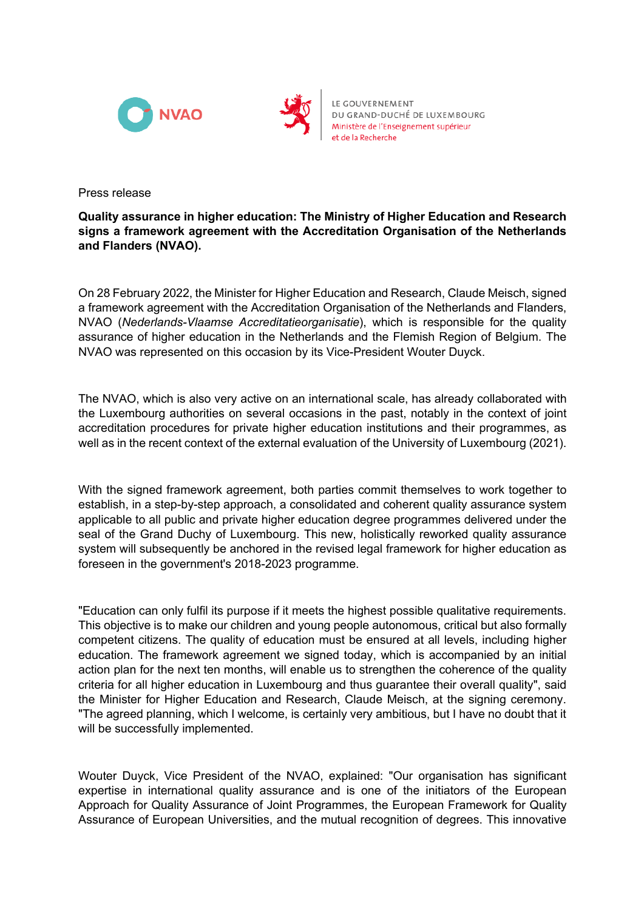



LE GOUVERNEMENT DU GRAND-DUCHÉ DE LUXEMBOURG Ministère de l'Enseignement supérieur et de la Recherche

Press release

## **Quality assurance in higher education: The Ministry of Higher Education and Research signs a framework agreement with the Accreditation Organisation of the Netherlands and Flanders (NVAO).**

On 28 February 2022, the Minister for Higher Education and Research, Claude Meisch, signed a framework agreement with the Accreditation Organisation of the Netherlands and Flanders, NVAO (*Nederlands-Vlaamse Accreditatieorganisatie*), which is responsible for the quality assurance of higher education in the Netherlands and the Flemish Region of Belgium. The NVAO was represented on this occasion by its Vice-President Wouter Duyck.

The NVAO, which is also very active on an international scale, has already collaborated with the Luxembourg authorities on several occasions in the past, notably in the context of joint accreditation procedures for private higher education institutions and their programmes, as well as in the recent context of the external evaluation of the University of Luxembourg (2021).

With the signed framework agreement, both parties commit themselves to work together to establish, in a step-by-step approach, a consolidated and coherent quality assurance system applicable to all public and private higher education degree programmes delivered under the seal of the Grand Duchy of Luxembourg. This new, holistically reworked quality assurance system will subsequently be anchored in the revised legal framework for higher education as foreseen in the government's 2018-2023 programme.

"Education can only fulfil its purpose if it meets the highest possible qualitative requirements. This objective is to make our children and young people autonomous, critical but also formally competent citizens. The quality of education must be ensured at all levels, including higher education. The framework agreement we signed today, which is accompanied by an initial action plan for the next ten months, will enable us to strengthen the coherence of the quality criteria for all higher education in Luxembourg and thus guarantee their overall quality", said the Minister for Higher Education and Research, Claude Meisch, at the signing ceremony. "The agreed planning, which I welcome, is certainly very ambitious, but I have no doubt that it will be successfully implemented.

Wouter Duyck, Vice President of the NVAO, explained: "Our organisation has significant expertise in international quality assurance and is one of the initiators of the European Approach for Quality Assurance of Joint Programmes, the European Framework for Quality Assurance of European Universities, and the mutual recognition of degrees. This innovative